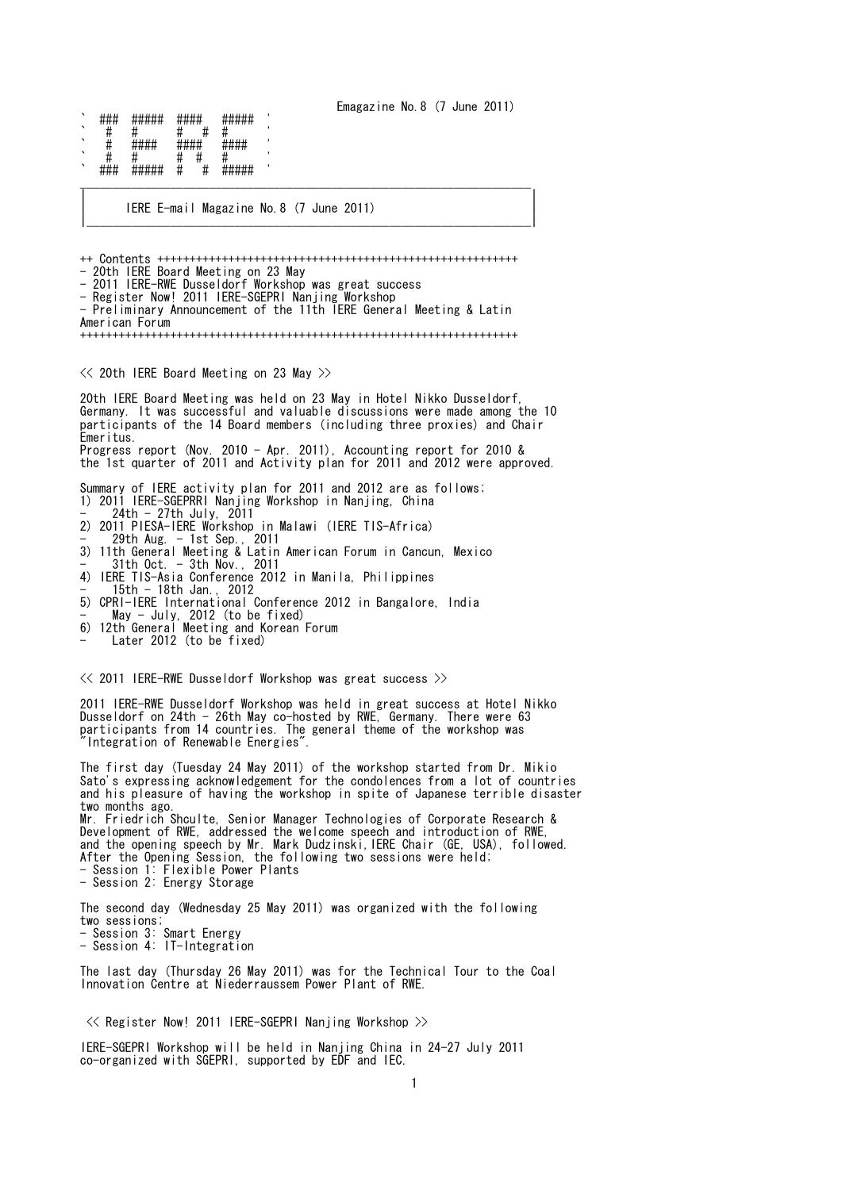Emagazine No.8 (7 June 2011)

` ### ##### #### ##### ' ` # # # # # ' ##### ##### ` # # # # # ' ` ### ##### # # ##### ' \_\_\_\_\_\_\_\_\_\_\_\_\_\_\_\_\_\_\_\_\_\_\_\_\_\_\_\_\_\_\_\_\_\_\_\_\_\_\_\_\_\_\_\_\_\_\_\_\_\_\_\_\_\_\_\_\_\_\_\_\_\_\_\_\_\_\_\_\_\_

| IERE E-mail Magazine No.8 (7 June 2011) | |\_\_\_\_\_\_\_\_\_\_\_\_\_\_\_\_\_\_\_\_\_\_\_\_\_\_\_\_\_\_\_\_\_\_\_\_\_\_\_\_\_\_\_\_\_\_\_\_\_\_\_\_\_\_\_\_\_\_\_\_\_\_\_\_\_\_\_\_\_|

| |

++ Contents ++++++++++++++++++++++++++++++++++++++++++++++++++++++++ - 20th IERE Board Meeting on 23 May - 2011 IERE-RWE Dusseldorf Workshop was great success - Register Now! 2011 IERE-SGEPRI Nanjing Workshop - Preliminary Announcement of the 11th IERE General Meeting & Latin American Forum ++++++++++++++++++++++++++++++++++++++++++++++++++++++++++++++++++++  $\ll$  20th IERE Board Meeting on 23 May  $\gg$ 20th IERE Board Meeting was held on 23 May in Hotel Nikko Dusseldorf, Germany. It was successful and valuable discussions were made among the 10 participants of the 14 Board members (including three proxies) and Chair Emeritus. Progress report (Nov. 2010 - Apr. 2011), Accounting report for 2010 & the 1st quarter of 2011 and Activity plan for 2011 and 2012 were approved. Summary of IERE activity plan for 2011 and 2012 are as follows; 1) 2011 IERE-SGEPRRI Nanjing Workshop in Nanjing, China - 24th - 27th July, 2011 2) 2011 PIESA-IERE Workshop in Malawi (IERE TIS-Africa) - 29th Aug. - 1st Sep., 2011 3) 11th General Meeting & Latin American Forum in Cancun, Mexico - 31th Oct. - 3th Nov., 2011 4) IERE TIS-Asia Conference 2012 in Manila, Philippines - 15th - 18th Jan., 2012 5) CPRI-IERE International Conference 2012 in Bangalore, India - May - July, 2012 (to be fixed) 6) 12th General Meeting and Korean Forum - Later 2012 (to be fixed) << 2011 IERE-RWE Dusseldorf Workshop was great success >> 2011 IERE-RWE Dusseldorf Workshop was held in great success at Hotel Nikko Dusseldorf on 24th - 26th May co-hosted by RWE, Germany. There were 63 participants from 14 countries. The general theme of the workshop was Integration of Renewable Energies' The first day (Tuesday 24 May 2011) of the workshop started from Dr. Mikio Sato's expressing acknowledgement for the condolences from a lot of countries and his pleasure of having the workshop in spite of Japanese terrible disaster two months ago. Mr. Friedrich Shculte, Senior Manager Technologies of Corporate Research & Development of RWE, addressed the welcome speech and introduction of RWE, and the opening speech by Mr. Mark Dudzinski, IERE Chair (GE, USA), followed. After the Opening Session, the following two sessions were held; - Session 1: Flexible Power Plants - Session 2: Energy Storage The second day (Wednesday 25 May 2011) was organized with the following two sessions; - Session 3: Smart Energy - Session 4: IT-Integration The last day (Thursday 26 May 2011) was for the Technical Tour to the Coal Innovation Centre at Niederraussem Power Plant of RWE. << Register Now! 2011 IERE-SGEPRI Nanjing Workshop >>

IERE-SGEPRI Workshop will be held in Nanjing China in 24-27 July 2011 co-organized with SGEPRI, supported by EDF and IEC.